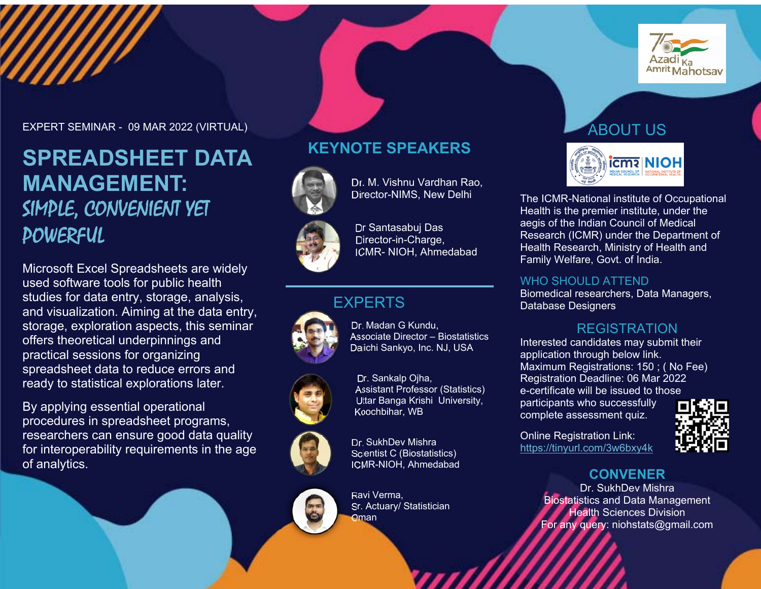

EXPERT SEMINAR - 09 MAR 2022 (VIRTUAL)

# **SPREADSHEET DATA MANAGEMENT:** SIMPLE, CONVENIENT YET POWERFUL

Microsoft Excel Spreadsheets are widely used software tools for public health studies for data entry, storage, analysis, and visualization. Aiming at the data entry, storage, exploration aspects, this seminar offers theoretical underpinnings and practical sessions for organizing spreadsheet data to reduce errors and ready to statistical explorations later.

By applying essential operational procedures in spreadsheet programs, researchers can ensure good data quality for interoperability requirements in the age of analytics.





 Dr. M. Vishnu Vardhan Rao, Director-NIMS, New Delhi

Dr Santasabuj Das Director-in-Charge, ICMR- NIOH, Ahmedabad

## EXPERTS

Dr. Madan G Kundu,





 Dr. Sankalp Ojha, Assistant Professor (Statistics) Uttar Banga Krishi University, Koochbihar, WB

Associate Director – Biostatistics

Dr. SukhDev Mishra Scientist C (Biostatistics) ICMR-NIOH, Ahmedabad



Ravi Verma, Sr. Actuary/ Statistician Oman

## ABOUT US



The ICMR-National institute of Occupational Health is the premier institute, under the aegis of the Indian Council of Medical Research (ICMR) under the Department of Health Research, Ministry of Health and Family Welfare, Govt. of India.

### WHO SHOULD ATTEND

Biomedical researchers, Data Managers, Database Designers

## **REGISTRATION**

Interested candidates may submit their application through below link. Maximum Registrations: 150 ; ( No Fee) Registration Deadline: 06 Mar 2022 e-certificate will be issued to those participants who successfully complete assessment quiz.

Online Registration Link: https://tinyurl.com/3w6bxy4k



**CONVENER** 

Dr. SukhDev MishraBiostatistics and Data Management Health Sciences DivisionFor any query: niohstats@gmail.com